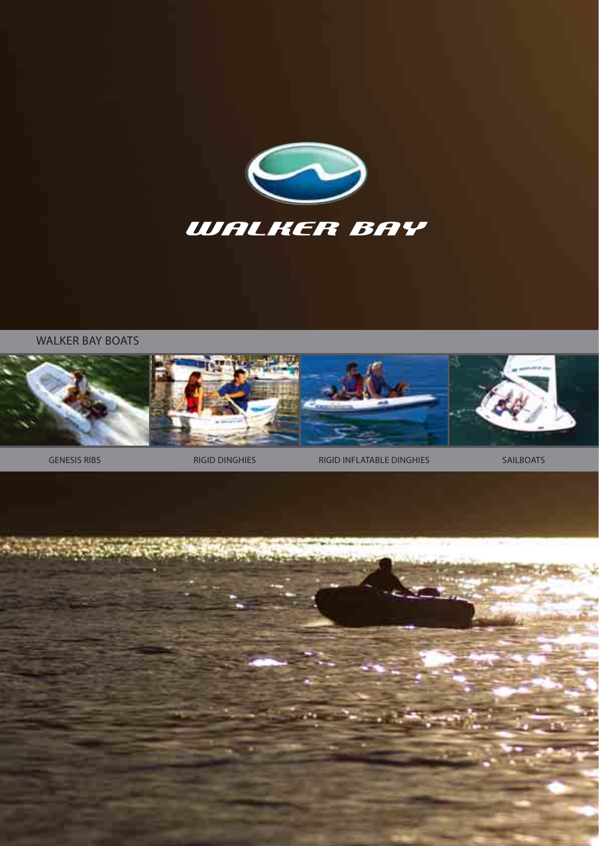

WALKER BAY BOATS



GENESIS RIBS **RIGID DINGHIES** RIGIO RIGID INFLATABLE DINGHIES SAILBOATS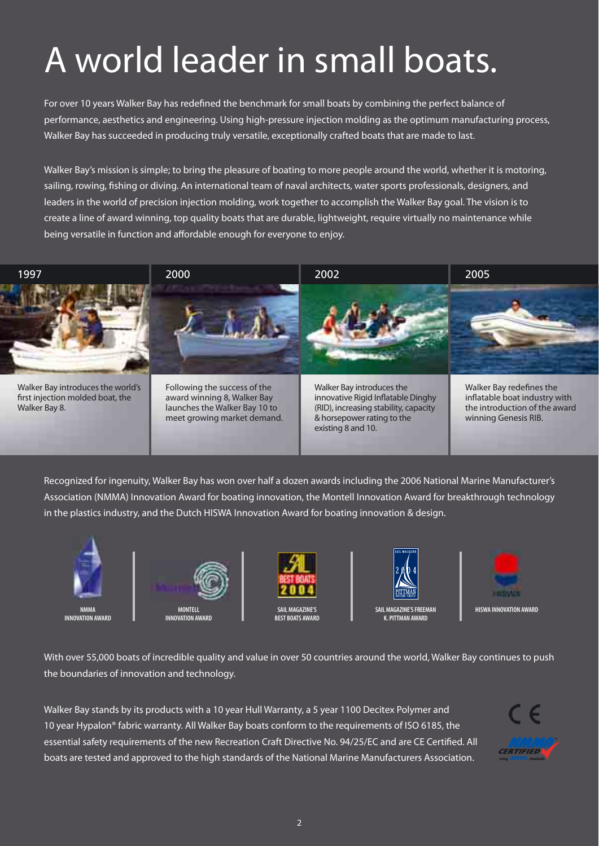## A world leader in small boats.

For over 10 years Walker Bay has redefined the benchmark for small boats by combining the perfect balance of performance, aesthetics and engineering. Using high-pressure injection molding as the optimum manufacturing process, Walker Bay has succeeded in producing truly versatile, exceptionally crafted boats that are made to last.

Walker Bay's mission is simple; to bring the pleasure of boating to more people around the world, whether it is motoring, sailing, rowing, fi shing or diving. An international team of naval architects, water sports professionals, designers, and leaders in the world of precision injection molding, work together to accomplish the Walker Bay goal. The vision is to create a line of award winning, top quality boats that are durable, lightweight, require virtually no maintenance while being versatile in function and affordable enough for everyone to enjoy.



Recognized for ingenuity, Walker Bay has won over half a dozen awards including the 2006 National Marine Manufacturer's Association (NMMA) Innovation Award for boating innovation, the Montell Innovation Award for breakthrough technology in the plastics industry, and the Dutch HISWA Innovation Award for boating innovation & design.



**NMMA INNOVATION AWARD** 



**INNOVATION AWARD** 



**SAIL MAGAZINE'S BEST BOATS AWARD** 



**SAIL MAGAZINE'S FREEMAN K. PITTMAN AWARD** 



With over 55,000 boats of incredible quality and value in over 50 countries around the world. Walker Bay continues to push the boundaries of innovation and technology.

Walker Bay stands by its products with a 10 year Hull Warranty, a 5 year 1100 Decitex Polymer and 10 year Hypalon® fabric warranty. All Walker Bay boats conform to the requirements of ISO 6185, the essential safety requirements of the new Recreation Craft Directive No. 94/25/EC and are CE Certified. All boats are tested and approved to the high standards of the National Marine Manufacturers Association.

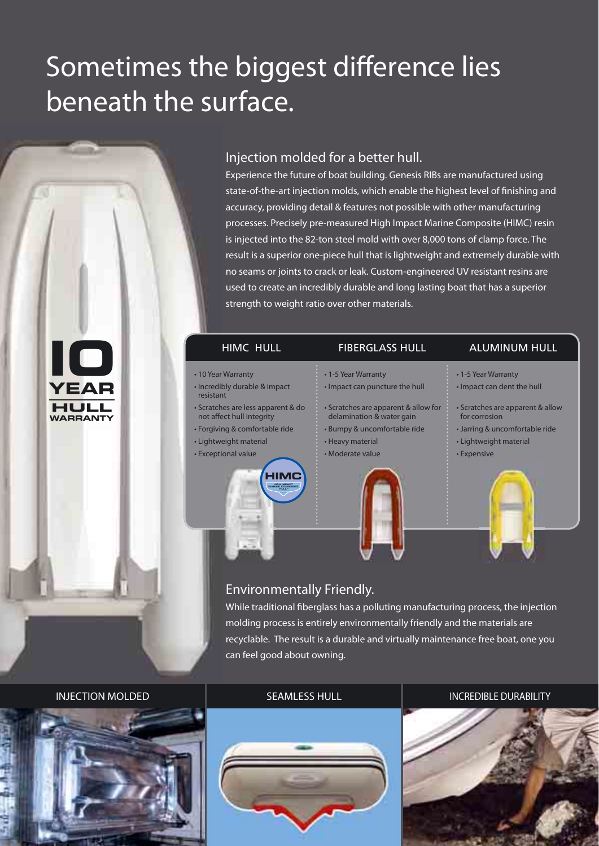### Sometimes the biggest difference lies beneath the surface.



**YEAR**

**HULL WARRANTY**

### Injection molded for a better hull.

Experience the future of boat building. Genesis RIBs are manufactured using state-of-the-art injection molds, which enable the highest level of finishing and accuracy, providing detail & features not possible with other manufacturing processes. Precisely pre-measured High Impact Marine Composite (HIMC) resin is injected into the 82-ton steel mold with over 8,000 tons of clamp force. The result is a superior one-piece hull that is lightweight and extremely durable with no seams or joints to crack or leak. Custom-engineered UV resistant resins are used to create an incredibly durable and long lasting boat that has a superior strength to weight ratio over other materials.

#### HIMC HULL FIBERGLASS HULL ALUMINUM HULL

#### • 10 Year Warranty

- Incredibly durable & impact resistant
- Scratches are less apparent & do not affect hull integrity
- Forgiving & comfortable ride
- Lightweight material



• 1-5 Year Warranty

- Scratches are apparent & allow for delamination & water gain
- Bumpy & uncomfortable ride

• Impact can puncture the hull

- Heavy material
- Moderate value



- Impact can dent the hull
- 
- Scratches are apparent & allow for corrosion
- Jarring & uncomfortable ride
- Lightweight material
- 



• Expensive

### Environmentally Friendly.

While traditional fiberglass has a polluting manufacturing process, the injection molding process is entirely environmentally friendly and the materials are recyclable. The result is a durable and virtually maintenance free boat, one you can feel good about owning.



#### INJECTION MOLDED **SEAMLESS HULL INTERFERIER DURABILITY** SEAMLESS HULL



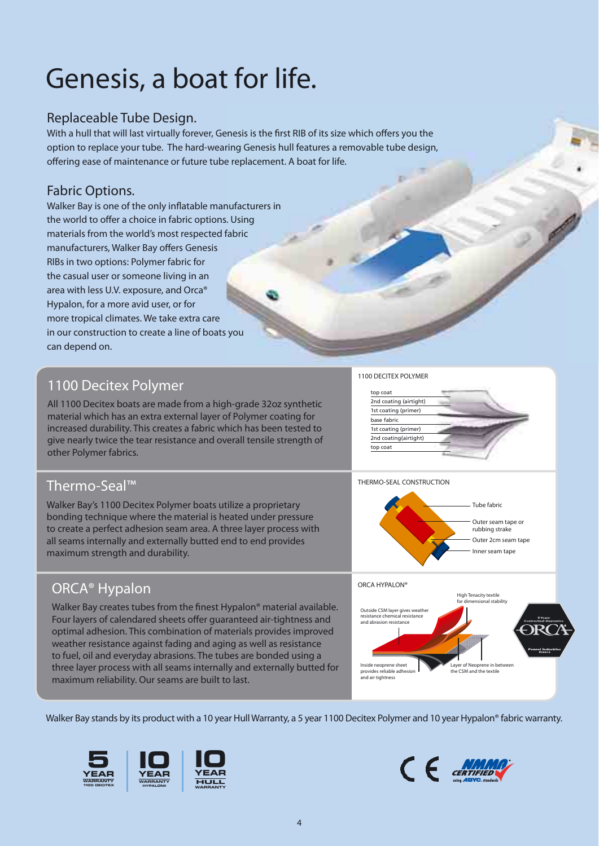### Genesis, a boat for life.

### Replaceable Tube Design.

With a hull that will last virtually forever, Genesis is the first RIB of its size which offers you the option to replace your tube. The hard-wearing Genesis hull features a removable tube design, offering ease of maintenance or future tube replacement. A boat for life.

### Fabric Options.

Walker Bay is one of the only inflatable manufacturers in the world to offer a choice in fabric options. Using materials from the world's most respected fabric manufacturers, Walker Bay offers Genesis RIBs in two options: Polymer fabric for the casual user or someone living in an area with less U.V. exposure, and Orca® Hypalon, for a more avid user, or for more tropical climates. We take extra care in our construction to create a line of boats you can depend on.

### 1100 Decitex Polymer

All 1100 Decitex boats are made from a high-grade 32oz synthetic material which has an extra external layer of Polymer coating for increased durability. This creates a fabric which has been tested to give nearly twice the tear resistance and overall tensile strength of other Polymer fabrics.

### Thermo-Seal™

Walker Bay's 1100 Decitex Polymer boats utilize a proprietary bonding technique where the material is heated under pressure to create a perfect adhesion seam area. A three layer process with all seams internally and externally butted end to end provides maximum strength and durability.

### ORCA® Hypalon

Walker Bay creates tubes from the finest Hypalon® material available. Four layers of calendared sheets offer guaranteed air-tightness and optimal adhesion. This combination of materials provides improved weather resistance against fading and aging as well as resistance to fuel, oil and everyday abrasions. The tubes are bonded using a three layer process with all seams internally and externally butted for maximum reliability. Our seams are built to last.





#### THERMO-SEAL CONSTRUCTION





Walker Bay stands by its product with a 10 year Hull Warranty, a 5 year 1100 Decitex Polymer and 10 year Hypalon® fabric warranty.







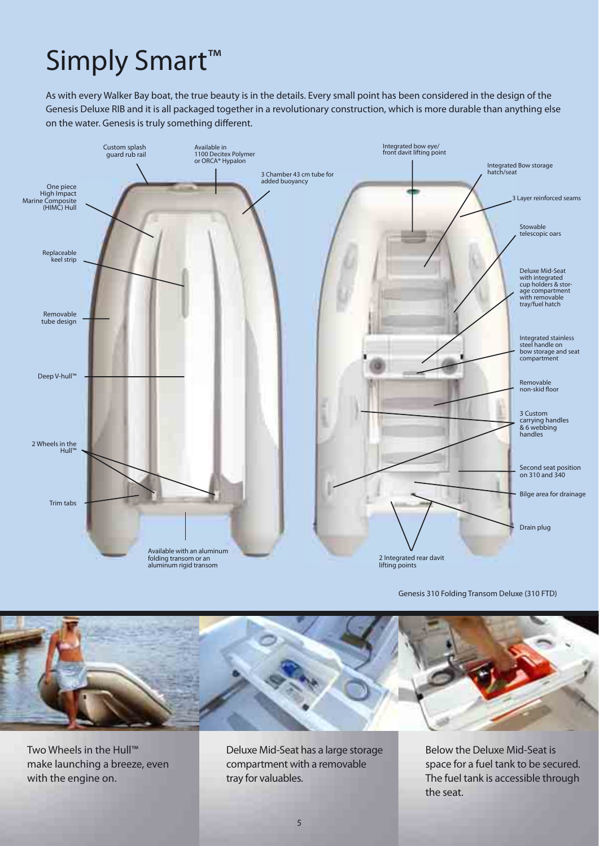### Simply Smart<sup>™</sup>

As with every Walker Bay boat, the true beauty is in the details. Every small point has been considered in the design of the Genesis Deluxe RIB and it is all packaged together in a revolutionary construction, which is more durable than anything else on the water. Genesis is truly something different.



Genesis 310 Folding Transom Deluxe (310 FTD)



Two Wheels in the Hull™ make launching a breeze, even with the engine on.

Deluxe Mid-Seat has a large storage compartment with a removable tray for valuables.

Below the Deluxe Mid-Seat is space for a fuel tank to be secured. The fuel tank is accessible through the seat.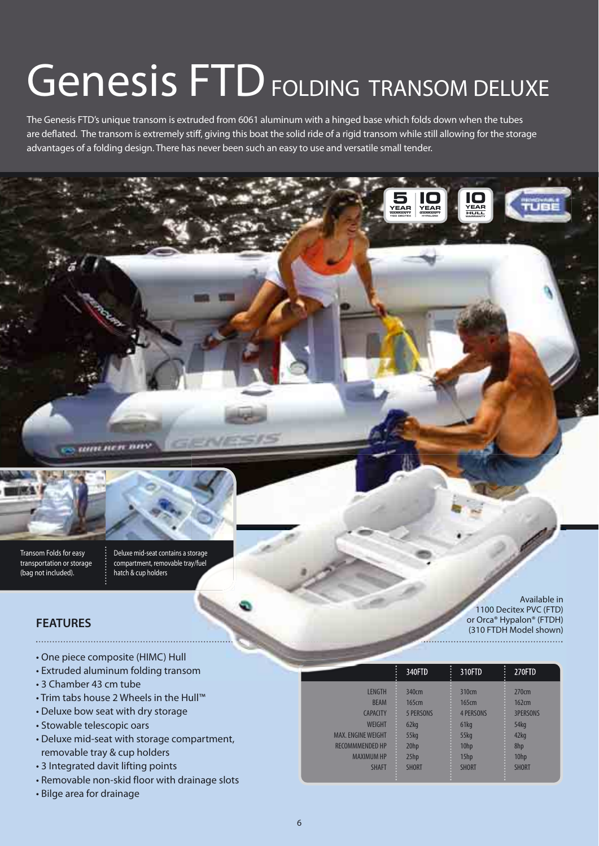# Genesis FTD FOLDING TRANSOM DELUXE

The Genesis FTD's unique transom is extruded from 6061 aluminum with a hinged base which folds down when the tubes are deflated. The transom is extremely stiff, giving this boat the solid ride of a rigid transom while still allowing for the storage advantages of a folding design. There has never been such an easy to use and versatile small tender.





transportation or storage (bag not included).

Deluxe mid-seat contains a storage compartment, removable tray/fuel hatch & cup holders

### **FEATURES**

- One piece composite (HIMC) Hull
- Extruded aluminum folding transom
- 3 Chamber 43 cm tube
- Trim tabs house 2 Wheels in the Hull™
- Deluxe bow seat with dry storage
- Stowable telescopic oars
- Deluxe mid-seat with storage compartment, removable tray & cup holders
- 3 Integrated davit lifting points
- Removable non-skid floor with drainage slots
- Bilge area for drainage

| п                         | 340FTD           | п<br>310FTD<br>÷ | п.<br>270FTD<br>$\ddot{\phantom{a}}$ |
|---------------------------|------------------|------------------|--------------------------------------|
| <b>LENGTH</b>             | 340cm            | 310cm            | 270cm                                |
| <b>BEAM</b>               | 165cm            | 165cm            | 162cm                                |
| <b>CAPACITY</b>           | <b>5 PERSONS</b> | <b>4 PERSONS</b> | <b>3PERSONS</b>                      |
| <b>WEIGHT</b>             | 62kg             | 61kg             | 54kg                                 |
| <b>MAX. ENGINE WEIGHT</b> | $55$ kg          | $55$ kg          | 42kg                                 |
| <b>RECOMMMENDED HP</b>    | 20 <sub>hp</sub> | 10hp             | 8hp                                  |
| <b>MAXIMUM HP</b>         | 25hp             | 15hp             | 10hp                                 |
| <b>SHAFT</b>              | <b>SHORT</b>     | <b>SHORT</b>     | <b>SHORT</b>                         |

**I0 YEAR WARRANTY HYPALON®** 

**I0 YEAR HULL WARRANTY**

**YEAR 5 WARRANTY 1100 DECITEX**

> Available in 1100 Decitex PVC (FTD) or Orca® Hypalon® (FTDH) (310 FTDH Model shown)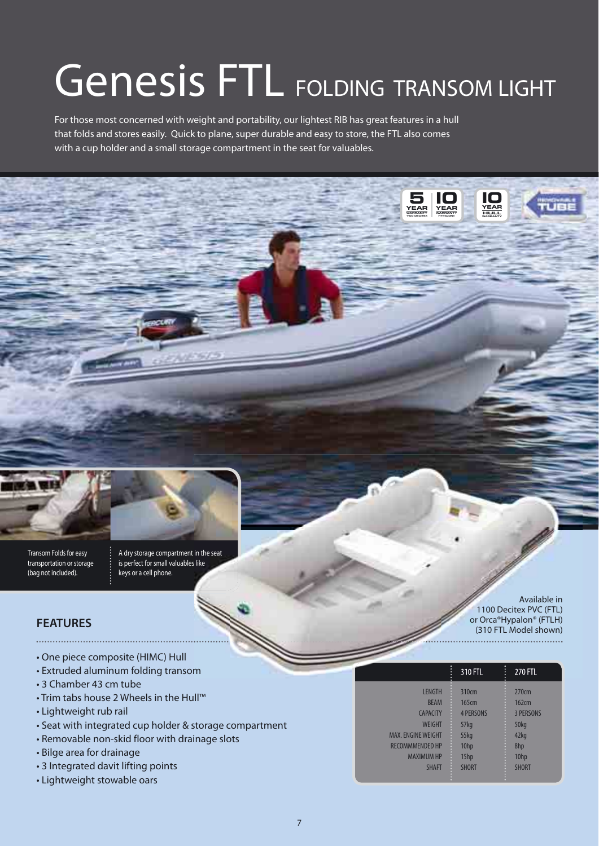# Genesis FTL FOLDING TRANSOM LIGHT

For those most concerned with weight and portability, our lightest RIB has great features in a hull that folds and stores easily. Quick to plane, super durable and easy to store, the FTL also comes with a cup holder and a small storage compartment in the seat for valuables.



Transom Folds for easy transportation or storage (bag not included).

A dry storage compartment in the seat is perfect for small valuables like keys or a cell phone.

### **FEATURES**

- One piece composite (HIMC) Hull
- Extruded aluminum folding transom
- 3 Chamber 43 cm tube
- Trim tabs house 2 Wheels in the Hull™
- Lightweight rub rail
- Seat with integrated cup holder & storage compartment
- Removable non-skid floor with drainage slots
- Bilge area for drainage
- 3 Integrated davit lifting points
- Lightweight stowable oars

Available in 1100 Decitex PVC (FTL) or Orca®Hypalon® (FTLH) (310 FTL Model shown) 

|                           | 310 FTL          | п<br>፡<br>270 FTL |
|---------------------------|------------------|-------------------|
| <b>LENGTH</b>             | 310cm            | 270cm             |
| <b>BEAM</b>               | 165cm            | 162cm             |
| <b>CAPACITY</b>           | <b>4 PERSONS</b> | <b>3 PERSONS</b>  |
| <b>WEIGHT</b>             | 57 <sub>kg</sub> | 50kg              |
| <b>MAX. ENGINE WEIGHT</b> | <b>55kg</b>      | 42kg              |
| <b>RECOMMMENDED HP</b>    | 10hp             | 8hp               |
| <b>MAXIMUM HP</b>         | 15hp             | 10hp              |
| <b>SHAFT</b>              | <b>SHORT</b>     | <b>SHORT</b>      |

**I0 YEAR WARRANTY HYPALON®**

**I0 YEAR HULL WARRANTY**

**YEAR 5 WARRANTY 1100 DECITEX**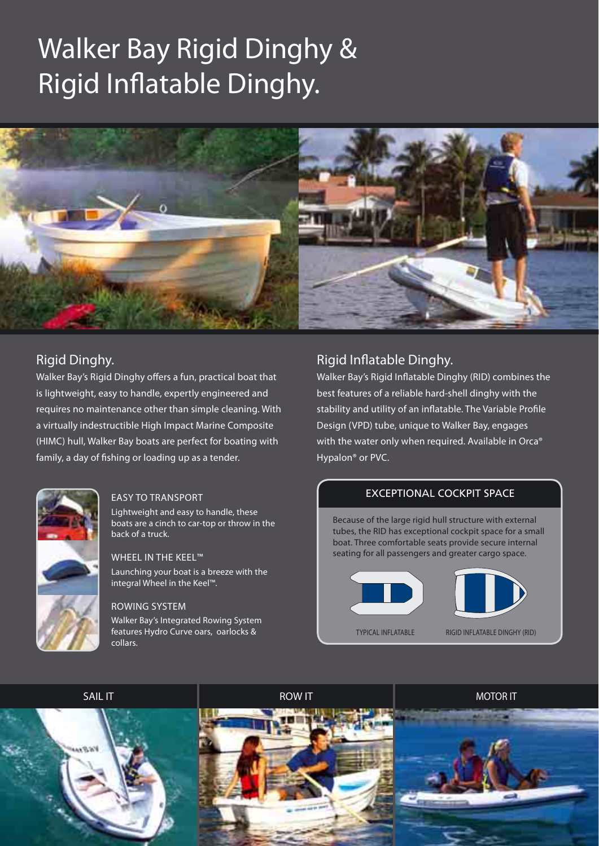### Walker Bay Rigid Dinghy & Rigid Inflatable Dinghy.



### Rigid Dinghy.

Walker Bay's Rigid Dinghy offers a fun, practical boat that is lightweight, easy to handle, expertly engineered and requires no maintenance other than simple cleaning. With a virtually indestructible High Impact Marine Composite (HIMC) hull, Walker Bay boats are perfect for boating with family, a day of fishing or loading up as a tender.



#### EASY TO TRANSPORT

Lightweight and easy to handle, these boats are a cinch to car-top or throw in the back of a truck.

#### WHEEL IN THE KEEL™

Launching your boat is a breeze with the integral Wheel in the Keel™.

#### ROWING SYSTEM

Walker Bay's Integrated Rowing System features Hydro Curve oars, oarlocks & collars.

### Rigid Inflatable Dinghy.

Walker Bay's Rigid Inflatable Dinghy (RID) combines the best features of a reliable hard-shell dinghy with the stability and utility of an inflatable. The Variable Profile Design (VPD) tube, unique to Walker Bay, engages with the water only when required. Available in Orca® Hypalon® or PVC.

### EXCEPTIONAL COCKPIT SPACE

Because of the large rigid hull structure with external tubes, the RID has exceptional cockpit space for a small boat. Three comfortable seats provide secure internal seating for all passengers and greater cargo space.





TYPICAL INFLATABLE RIGID INFLATABLE DINGHY (RID)

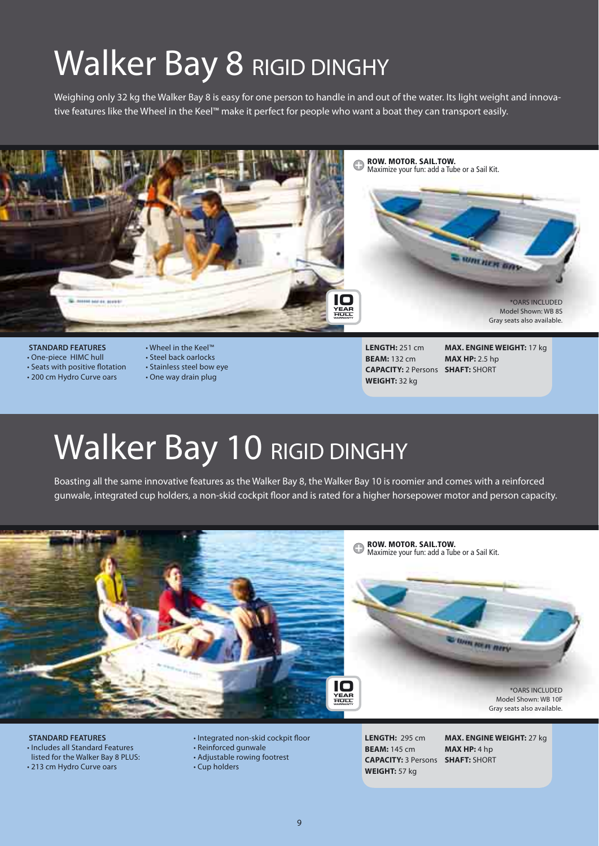### Walker Bay 8 RIGID DINGHY

Weighing only 32 kg the Walker Bay 8 is easy for one person to handle in and out of the water. Its light weight and innovative features like the Wheel in the Keel™ make it perfect for people who want a boat they can transport easily.



#### **STANDARD FEATURES**

- One-piece HIMC hull
- $\cdot$  Seats with positive flotation
- 200 cm Hydro Curve oars
- Wheel in the Keel™
- Steel back oarlocks
- Stainless steel bow eye
- One way drain plug

**LENGTH:** 251 cm **BEAM:** 132 cm **CAPACITY:** 2 Persons **SHAFT:** SHORT **WEIGHT:** 32 kg

**MAX. ENGINE WEIGHT:** 17 kg **MAX HP:** 2.5 hp

### Walker Bay 10 RIGID DINGHY

Boasting all the same innovative features as the Walker Bay 8, the Walker Bay 10 is roomier and comes with a reinforced gunwale, integrated cup holders, a non-skid cockpit floor and is rated for a higher horsepower motor and person capacity.



 **STANDARD FEATURES** • Includes all Standard Features listed for the Walker Bay 8 PLUS: • 213 cm Hydro Curve oars

• Integrated non-skid cockpit floor

- Reinforced gunwale
- Adjustable rowing footrest
- Cup holders

**LENGTH:** 295 cm **BEAM:** 145 cm **CAPACITY:** 3 Persons **SHAFT:** SHORT**WEIGHT:** 57 kg

**MAX. ENGINE WEIGHT:** 27 kg **MAX HP:** 4 hp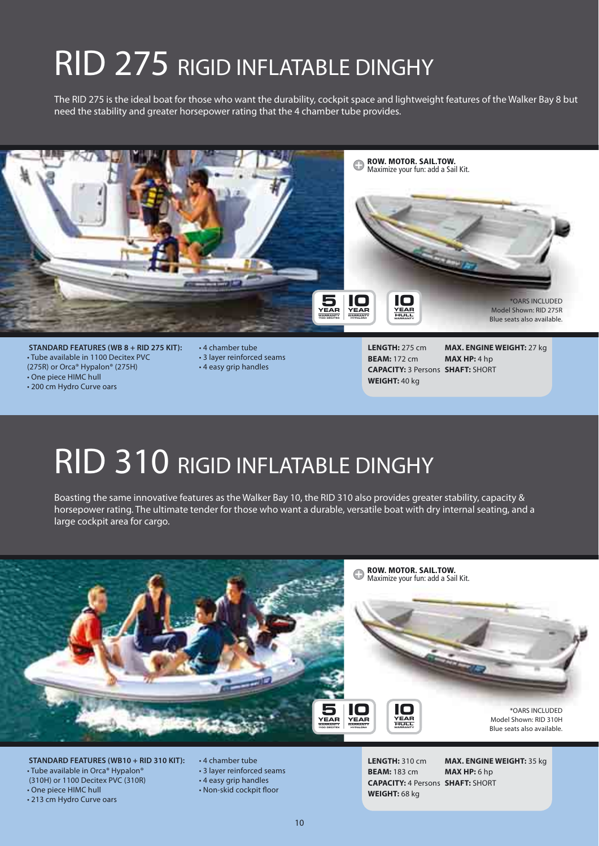### RID 275 RIGID INFLATABLE DINGHY

The RID 275 is the ideal boat for those who want the durability, cockpit space and lightweight features of the Walker Bay 8 but need the stability and greater horsepower rating that the 4 chamber tube provides.



 **STANDARD FEATURES (WB 8 + RID 275 KIT):** • Tube available in 1100 Decitex PVC (275R) or Orca® Hypalon® (275H)

• One piece HIMC hull

• 200 cm Hydro Curve oars

- 4 chamber tube • 3 layer reinforced seams
- 4 easy grip handles

**LENGTH:** 275 cm **BEAM:** 172 cm **CAPACITY:** 3 Persons **SHAFT:** SHORT **WEIGHT:** 40 kg **MAX. ENGINE WEIGHT:** 27 kg **MAX HP:** 4 hp

### RID 310 RIGID INFLATABLE DINGHY

Boasting the same innovative features as the Walker Bay 10, the RID 310 also provides greater stability, capacity & horsepower rating. The ultimate tender for those who want a durable, versatile boat with dry internal seating, and a large cockpit area for cargo.



- **STANDARD FEATURES (WB10 + RID 310 KIT):** • Tube available in Orca® Hypalon® (310H) or 1100 Decitex PVC (310R) • One piece HIMC hull
	-

• 213 cm Hydro Curve oars

- 4 chamber tube • 3 layer reinforced seams • 4 easy grip handles
- Non-skid cockpit floor

**LENGTH:** 310 cm **BEAM:** 183 cm **CAPACITY:** 4 Persons **SHAFT:** SHORT**WEIGHT:** 68 kg

**MAX. ENGINE WEIGHT:** 35 kg **MAX HP:** 6 hp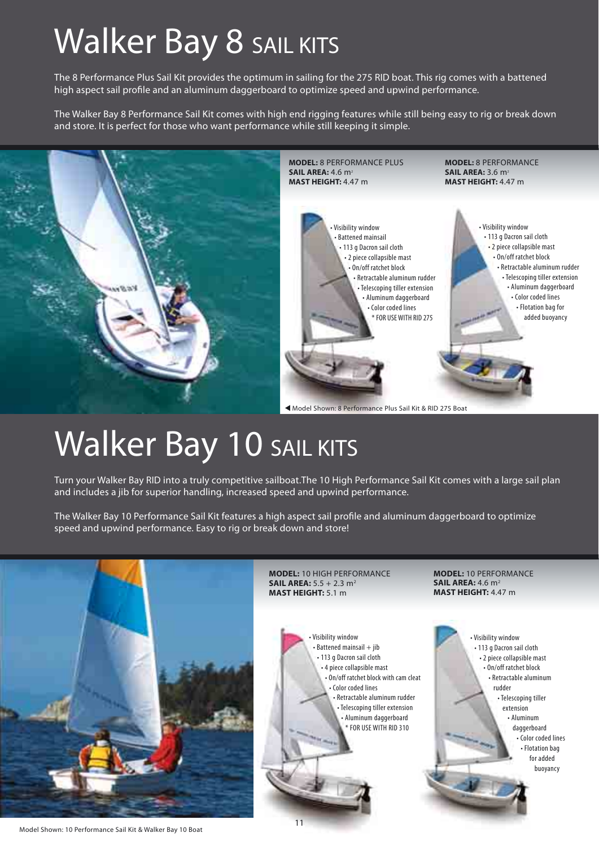### Walker Bay 8 SAIL KITS

The 8 Performance Plus Sail Kit provides the optimum in sailing for the 275 RID boat. This rig comes with a battened high aspect sail profile and an aluminum daggerboard to optimize speed and upwind performance.

The Walker Bay 8 Performance Sail Kit comes with high end rigging features while still being easy to rig or break down and store. It is perfect for those who want performance while still keeping it simple.



### Walker Bay 10 SAIL KITS

Turn your Walker Bay RID into a truly competitive sailboat.The 10 High Performance Sail Kit comes with a large sail plan and includes a jib for superior handling, increased speed and upwind performance.

The Walker Bay 10 Performance Sail Kit features a high aspect sail profile and aluminum daggerboard to optimize speed and upwind performance. Easy to rig or break down and store!

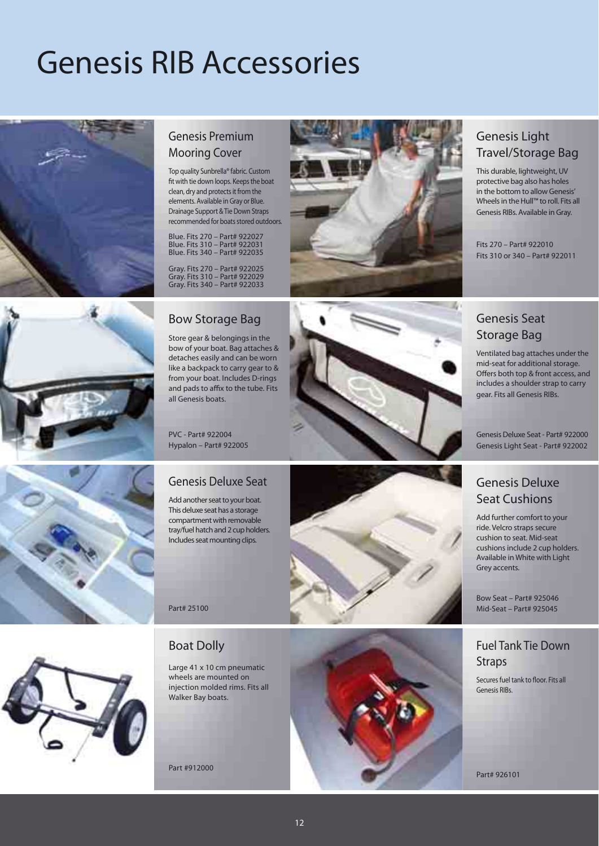### Genesis RIB Accessories





Top quality Sunbrella® fabric. Custom fit with tie down loops. Keeps the boat clean, dry and protects it from the elements. Available in Gray or Blue. Drainage Support & Tie Down Straps recommended for boats stored outdoors.

Blue. Fits 270 – Part# 922027 Blue. Fits 310 – Part# 922031 Blue. Fits 340 – Part# 922035

Gray. Fits 270 – Part# 922025 Gray. Fits 310 – Part# 922029 Gray. Fits 340 – Part# 922033



### Genesis Light Travel/Storage Bag

This durable, lightweight, UV protective bag also has holes in the bottom to allow Genesis' Wheels in the Hull™ to roll. Fits all Genesis RIBs. Available in Gray.

Fits 270 – Part# 922010 Fits 310 or 340 – Part# 922011

### Genesis Seat Storage Bag

Ventilated bag attaches under the mid-seat for additional storage. Offers both top & front access, and includes a shoulder strap to carry gear. Fits all Genesis RIBs.

Genesis Deluxe Seat - Part# 922000 Genesis Light Seat - Part# 922002

### Genesis Deluxe Seat Cushions

Add further comfort to your ride. Velcro straps secure cushion to seat. Mid-seat cushions include 2 cup holders. Available in White with Light Grey accents.

Bow Seat – Part# 925046 Mid-Seat – Part# 925045

### Fuel Tank Tie Down **Straps**

Secures fuel tank to floor. Fits all Genesis RIBs.

Part# 926101

### Bow Storage Bag

Store gear & belongings in the bow of your boat. Bag attaches & detaches easily and can be worn like a backpack to carry gear to & from your boat. Includes D-rings and pads to affix to the tube. Fits all Genesis boats.

PVC - Part# 922004 Hypalon – Part# 922005

### Genesis Deluxe Seat

Add another seat to your boat. This deluxe seat has a storage compartment with removable tray/fuel hatch and 2 cup holders. Includes seat mounting clips.

Part# 25100









### Boat Dolly

Large 41 x 10 cm pneumatic wheels are mounted on injection molded rims. Fits all Walker Bay boats.

Part #912000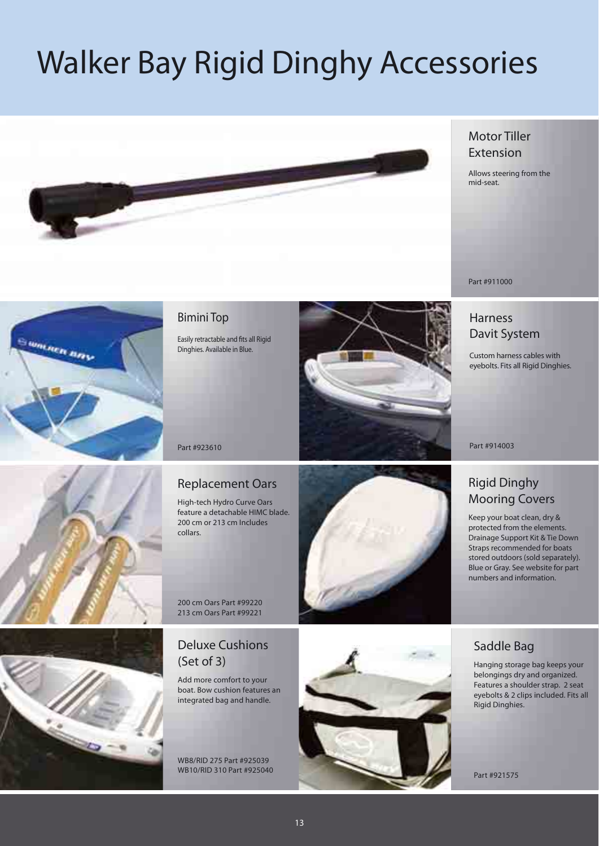## Walker Bay Rigid Dinghy Accessories



### Motor Tiller Extension

Allows steering from the mid-seat.



### Harness Davit System

Custom harness cables with eyebolts. Fits all Rigid Dinghies.

Part #914003

### Rigid Dinghy Mooring Covers

Keep your boat clean, dry & protected from the elements. Drainage Support Kit & Tie Down Straps recommended for boats stored outdoors (sold separately). Blue or Gray. See website for part numbers and information.



Summer Bay

### Bimini Top

Easily retractable and fits all Rigid Dinghies. Available in Blue.



Part #923610

### Replacement Oars

High-tech Hydro Curve Oars feature a detachable HIMC blade. 200 cm or 213 cm Includes collars.



200 cm Oars Part #99220 213 cm Oars Part #99221

### Deluxe Cushions (Set of 3)

Add more comfort to your boat. Bow cushion features an integrated bag and handle.

WB8/RID 275 Part #925039 WB10/RID 310 Part #925040





Hanging storage bag keeps your belongings dry and organized. Features a shoulder strap. 2 seat eyebolts & 2 clips included. Fits all Rigid Dinghies.

Part #921575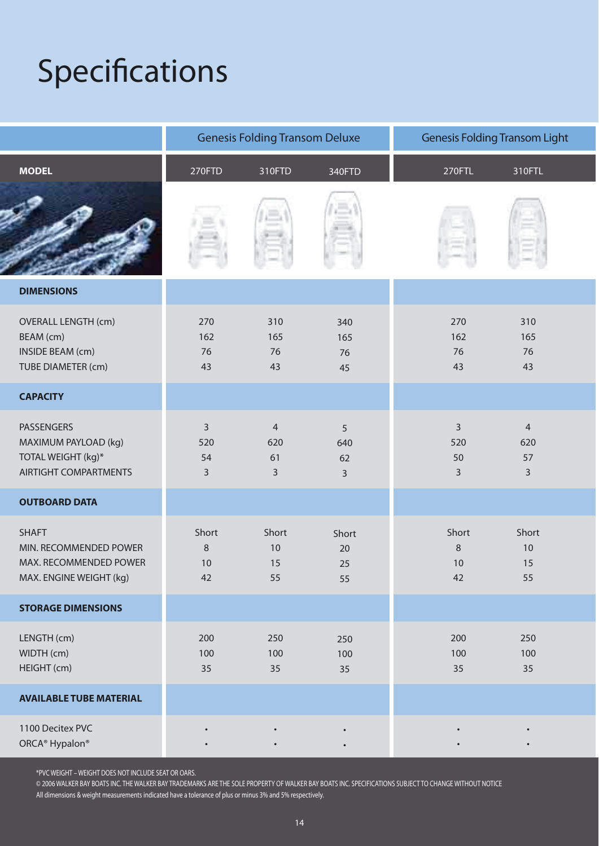## Specifications

|                                                                                                 | <b>Genesis Folding Transom Deluxe</b> |                         | <b>Genesis Folding Transom Light</b> |                              |                                               |  |
|-------------------------------------------------------------------------------------------------|---------------------------------------|-------------------------|--------------------------------------|------------------------------|-----------------------------------------------|--|
| <b>MODEL</b>                                                                                    | 270FTD                                | 310FTD                  | 340FTD                               | 270FTL                       | 310FTL                                        |  |
|                                                                                                 |                                       |                         |                                      |                              |                                               |  |
| <b>DIMENSIONS</b>                                                                               |                                       |                         |                                      |                              |                                               |  |
| <b>OVERALL LENGTH (cm)</b><br>BEAM (cm)<br><b>INSIDE BEAM (cm)</b><br>TUBE DIAMETER (cm)        | 270<br>162<br>76<br>43                | 310<br>165<br>76<br>43  | 340<br>165<br>76<br>45               | 270<br>162<br>76<br>43       | 310<br>165<br>76<br>43                        |  |
| <b>CAPACITY</b>                                                                                 |                                       |                         |                                      |                              |                                               |  |
| <b>PASSENGERS</b><br>MAXIMUM PAYLOAD (kg)<br>TOTAL WEIGHT (kg)*<br><b>AIRTIGHT COMPARTMENTS</b> | $\overline{3}$<br>520<br>54<br>3      | 4<br>620<br>61<br>3     | 5<br>640<br>62<br>$\overline{3}$     | 3<br>520<br>50<br>3          | $\overline{4}$<br>620<br>57<br>$\overline{3}$ |  |
| <b>OUTBOARD DATA</b>                                                                            |                                       |                         |                                      |                              |                                               |  |
| <b>SHAFT</b><br>MIN. RECOMMENDED POWER<br>MAX. RECOMMENDED POWER<br>MAX. ENGINE WEIGHT (kg)     | Short<br>$\,8\,$<br>10<br>42          | Short<br>10<br>15<br>55 | Short<br>20<br>25<br>55              | Short<br>$\,8\,$<br>10<br>42 | Short<br>$10$<br>15<br>55                     |  |
| <b>STORAGE DIMENSIONS</b>                                                                       |                                       |                         |                                      |                              |                                               |  |
| LENGTH (cm)<br>WIDTH (cm)<br>HEIGHT (cm)                                                        | 200<br>100<br>35                      | 250<br>100<br>35        | 250<br>100<br>35                     | 200<br>100<br>35             | 250<br>100<br>35                              |  |
| <b>AVAILABLE TUBE MATERIAL</b>                                                                  |                                       |                         |                                      |                              |                                               |  |
| 1100 Decitex PVC<br>ORCA <sup>®</sup> Hypalon <sup>®</sup>                                      |                                       |                         | $\bullet$<br>$\bullet$               |                              |                                               |  |

\*PVC WEIGHT – WEIGHT DOES NOT INCLUDE SEAT OR OARS.

© 2006 WALKER BAY BOATS INC. THE WALKER BAY TRADEMARKS ARE THE SOLE PROPERTY OF WALKER BAY BOATS INC. SPECIFICATIONS SUBJECT TO CHANGE WITHOUT NOTICE All dimensions & weight measurements indicated have a tolerance of plus or minus 3% and 5% respectively.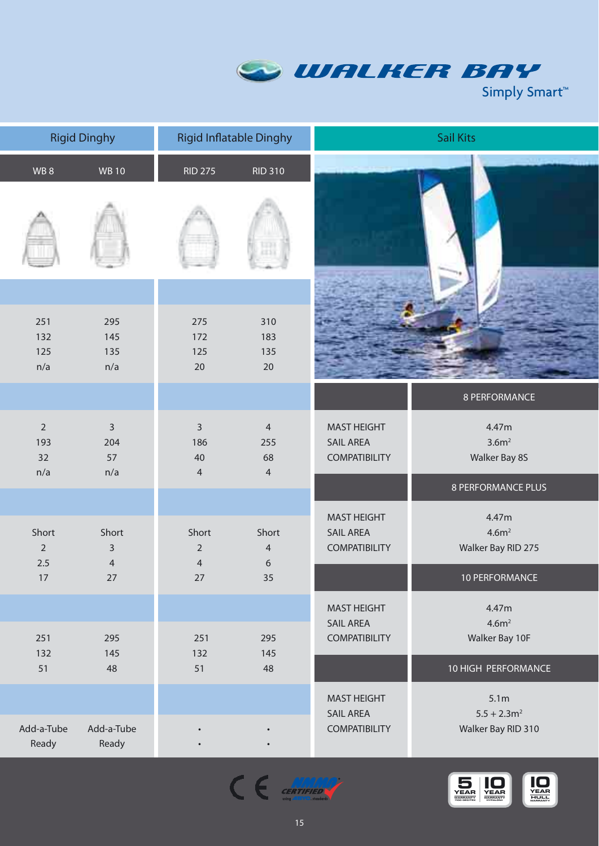

|                                    | <b>Rigid Dinghy</b>              |                                             | <b>Rigid Inflatable Dinghy</b>                | <b>Sail Kits</b>                                               |                                                  |
|------------------------------------|----------------------------------|---------------------------------------------|-----------------------------------------------|----------------------------------------------------------------|--------------------------------------------------|
| WB8                                | <b>WB 10</b>                     | <b>RID 275</b>                              | <b>RID 310</b>                                |                                                                |                                                  |
|                                    |                                  |                                             |                                               |                                                                |                                                  |
| 251<br>132<br>125<br>n/a           | 295<br>145<br>135<br>n/a         | 275<br>172<br>125<br>20                     | 310<br>183<br>135<br>20                       |                                                                |                                                  |
|                                    |                                  |                                             |                                               |                                                                | 8 PERFORMANCE                                    |
| $\overline{2}$<br>193<br>32<br>n/a | $\mathsf{3}$<br>204<br>57<br>n/a | $\mathsf{3}$<br>186<br>40<br>$\overline{4}$ | $\overline{4}$<br>255<br>68<br>$\overline{4}$ | <b>MAST HEIGHT</b><br><b>SAIL AREA</b><br><b>COMPATIBILITY</b> | 4.47m<br>3.6m <sup>2</sup><br>Walker Bay 8S      |
|                                    |                                  |                                             |                                               |                                                                | <b>8 PERFORMANCE PLUS</b>                        |
| Short<br>$\overline{2}$<br>2.5     | Short<br>3<br>$\overline{4}$     | Short<br>$\overline{2}$<br>$\overline{4}$   | Short<br>$\overline{4}$<br>6                  | <b>MAST HEIGHT</b><br><b>SAIL AREA</b><br><b>COMPATIBILITY</b> | 4.47m<br>4.6m <sup>2</sup><br>Walker Bay RID 275 |
| 17                                 | 27                               | 27                                          | 35                                            |                                                                | 10 PERFORMANCE                                   |
| 251<br>132                         | 295<br>145                       | 251<br>132                                  | 295<br>145                                    | <b>MAST HEIGHT</b><br><b>SAIL AREA</b><br><b>COMPATIBILITY</b> | 4.47m<br>4.6m <sup>2</sup><br>Walker Bay 10F     |
| 51                                 | 48                               | 51                                          | 48                                            |                                                                | 10 HIGH PERFORMANCE                              |
|                                    |                                  |                                             |                                               | <b>MAST HEIGHT</b><br><b>SAIL AREA</b>                         | 5.1m<br>$5.5 + 2.3$ m <sup>2</sup>               |
| Add-a-Tube<br>Ready                | Add-a-Tube<br>Ready              |                                             |                                               | <b>COMPATIBILITY</b>                                           | Walker Bay RID 310                               |



 $\epsilon \in \mathbb{R}^{NMRQ}_{\text{diag. disk}}$